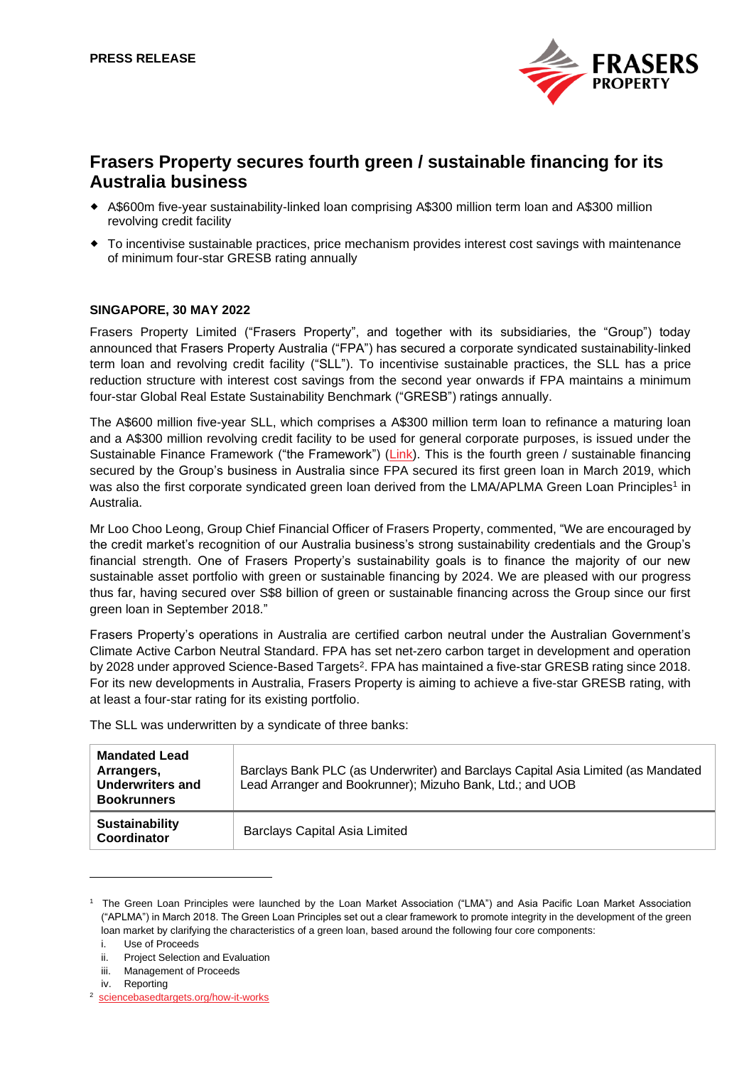

# **Frasers Property secures fourth green / sustainable financing for its Australia business**

- A\$600m five-year sustainability-linked loan comprising A\$300 million term loan and A\$300 million revolving credit facility
- To incentivise sustainable practices, price mechanism provides interest cost savings with maintenance of minimum four-star GRESB rating annually

# **SINGAPORE, 30 MAY 2022**

Frasers Property Limited ("Frasers Property", and together with its subsidiaries, the "Group") today announced that Frasers Property Australia ("FPA") has secured a corporate syndicated sustainability-linked term loan and revolving credit facility ("SLL"). To incentivise sustainable practices, the SLL has a price reduction structure with interest cost savings from the second year onwards if FPA maintains a minimum four-star Global Real Estate Sustainability Benchmark ("GRESB") ratings annually.

The A\$600 million five-year SLL, which comprises a A\$300 million term loan to refinance a maturing loan and a A\$300 million revolving credit facility to be used for general corporate purposes, is issued under the Sustainable Finance Framework ("the Framework") [\(Link\)](https://www.frasersproperty.com.au/a-different-way/sustainable-finance). This is the fourth green / sustainable financing secured by the Group's business in Australia since FPA secured its first green loan in March 2019, which was also the first corporate syndicated green loan derived from the LMA/APLMA Green Loan Principles<sup>1</sup> in Australia.

Mr Loo Choo Leong, Group Chief Financial Officer of Frasers Property, commented, "We are encouraged by the credit market's recognition of our Australia business's strong sustainability credentials and the Group's financial strength. One of Frasers Property's sustainability goals is to finance the majority of our new sustainable asset portfolio with green or sustainable financing by 2024. We are pleased with our progress thus far, having secured over S\$8 billion of green or sustainable financing across the Group since our first green loan in September 2018."

Frasers Property's operations in Australia are certified carbon neutral under the Australian Government's Climate Active Carbon Neutral Standard. FPA has set net-zero carbon target in development and operation by 2028 under approved Science-Based Targets<sup>2</sup>. FPA has maintained a five-star GRESB rating since 2018. For its new developments in Australia, Frasers Property is aiming to achieve a five-star GRESB rating, with at least a four-star rating for its existing portfolio.

The SLL was underwritten by a syndicate of three banks:

| <b>Mandated Lead</b><br>Arrangers,<br><b>Underwriters and</b><br><b>Bookrunners</b> | Barclays Bank PLC (as Underwriter) and Barclays Capital Asia Limited (as Mandated<br>Lead Arranger and Bookrunner); Mizuho Bank, Ltd.; and UOB |
|-------------------------------------------------------------------------------------|------------------------------------------------------------------------------------------------------------------------------------------------|
| <b>Sustainability</b><br>Coordinator                                                | <b>Barclays Capital Asia Limited</b>                                                                                                           |

<sup>1</sup> The Green Loan Principles were launched by the Loan Market Association ("LMA") and Asia Pacific Loan Market Association ("APLMA") in March 2018. The Green Loan Principles set out a clear framework to promote integrity in the development of the green loan market by clarifying the characteristics of a green loan, based around the following four core components:

i. Use of Proceeds

ii. Project Selection and Evaluation

iii. Management of Proceeds

iv. Reporting

<sup>2</sup> <sciencebasedtargets.org/how-it-works>